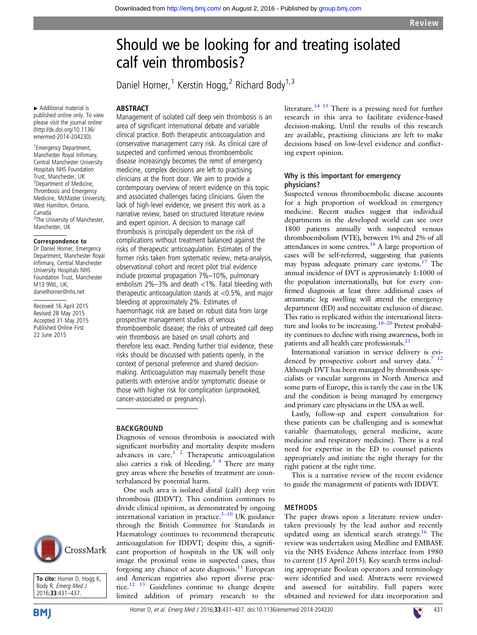# Should we be looking for and treating isolated calf vein thrombosis?

Daniel Horner,<sup>1</sup> Kerstin Hogg,<sup>2</sup> Richard Body<sup>1,3</sup>

▸ Additional material is published online only. To view please visit the journal online [\(http://dx.doi.org/10.1136/](http://dx.doi.org/10.1136/emermed-2014-204230) [emermed-2014-204230](http://dx.doi.org/10.1136/emermed-2014-204230)).

1 Emergency Department, Manchester Royal Infirmary, Central Manchester University Hospitals NHS Foundation Trust, Manchester, UK <sup>2</sup> Department of Medicine, Thrombosis and Emergency Medicine, McMaster University, West Hamilton, Ontario, Canada <sup>3</sup>The University of Manchester, Manchester, UK

#### Correspondence to

Dr Daniel Horner, Emergency Department, Manchester Royal Infirmary, Central Manchester University Hospitals NHS Foundation Trust, Manchester  $M13$  9WL, UK; danielhorner@nhs.net

Received 16 April 2015 Revised 28 May 2015 Accepted 31 May 2015 Published Online First 22 June 2015

### ABSTRACT

Management of isolated calf deep vein thrombosis is an area of significant international debate and variable clinical practice. Both therapeutic anticoagulation and conservative management carry risk. As clinical care of suspected and confirmed venous thromboembolic disease increasingly becomes the remit of emergency medicine, complex decisions are left to practising clinicians at the front door. We aim to provide a contemporary overview of recent evidence on this topic and associated challenges facing clinicians. Given the lack of high-level evidence, we present this work as a narrative review, based on structured literature review and expert opinion. A decision to manage calf thrombosis is principally dependent on the risk of complications without treatment balanced against the risks of therapeutic anticoagulation. Estimates of the former risks taken from systematic review, meta-analysis, observational cohort and recent pilot trial evidence include proximal propagation 7%–10%, pulmonary embolism 2%–3% and death <1%. Fatal bleeding with therapeutic anticoagulation stands at <0.5%, and major bleeding at approximately 2%. Estimates of haemorrhagic risk are based on robust data from large prospective management studies of venous thromboembolic disease; the risks of untreated calf deep vein thrombosis are based on small cohorts and therefore less exact. Pending further trial evidence, these risks should be discussed with patients openly, in the context of personal preference and shared decisionmaking. Anticoagulation may maximally benefit those patients with extensive and/or symptomatic disease or those with higher risk for complication (unprovoked, cancer-associated or pregnancy).

#### BACKGROUND

Diagnosis of venous thrombosis is associated with significant morbidity and mortality despite modern advances in care. $1^2$  Therapeutic anticoagulation also carries a risk of bleeding. $3 \times 4$  There are many grey areas where the benefits of treatment are counterbalanced by potential harm.

One such area is isolated distal (calf) deep vein thrombosis (IDDVT). This condition continues to divide clinical opinion, as demonstrated by ongoing international variation in practice.<sup>5-[10](#page-5-0)</sup> UK guidance through the British Committee for Standards in Haematology continues to recommend therapeutic anticoagulation for IDDVT; despite this, a significant proportion of hospitals in the UK will only image the proximal veins in suspected cases, thus forgoing any chance of acute diagnosis[.11](#page-5-0) European and American registries also report diverse practice.<sup>12</sup> <sup>13</sup> Guidelines continue to change despite limited addition of primary research to the

literature.<sup>14 15</sup> There is a pressing need for further research in this area to facilitate evidence-based decision-making. Until the results of this research are available, practising clinicians are left to make decisions based on low-level evidence and conflicting expert opinion.

## Why is this important for emergency physicians?

Suspected venous thromboembolic disease accounts for a high proportion of workload in emergency medicine. Recent studies suggest that individual departments in the developed world can see over 1800 patients annually with suspected venous thromboembolism (VTE), between 1% and 2% of all attendances in some centres. $16$  A large proportion of cases will be self-referred, suggesting that patients may bypass adequate primary care systems.<sup>17</sup> The annual incidence of DVT is approximately 1:1000 of the population internationally, but for every confirmed diagnosis at least three additional cases of atraumatic leg swelling will attend the emergency department (ED) and necessitate exclusion of disease. This ratio is replicated within the international literature and looks to be increasing.<sup>18–20</sup> Pretest probability continues to decline with rising awareness, both in patients and all health care professionals.<sup>21</sup>

International variation in service delivery is evidenced by prospective cohort and survey data. $7\frac{12}{2}$ Although DVT has been managed by thrombosis specialists or vascular surgeons in North America and some parts of Europe, this is rarely the case in the UK and the condition is being managed by emergency and primary care physicians in the USA as well.

Lastly, follow-up and expert consultation for these patients can be challenging and is somewhat variable (haematology, general medicine, acute medicine and respiratory medicine). There is a real need for expertise in the ED to counsel patients appropriately and initiate the right therapy for the right patient at the right time.

This is a narrative review of the recent evidence to guide the management of patients with IDDVT.

## METHODS

The paper draws upon a literature review undertaken previously by the lead author and recently updated using an identical search strategy.<sup>[16](#page-5-0)</sup> The review was undertaken using Medline and EMBASE via the NHS Evidence Athens interface from 1980 to current (15 April 2015). Key search terms including appropriate Boolean operators and terminology were identified and used. Abstracts were reviewed and assessed for suitability. Full papers were obtained and reviewed for data incorporation and



To cite: Horner D, Hogg K, Body R. Emerg Med J 2016;33:431–437.

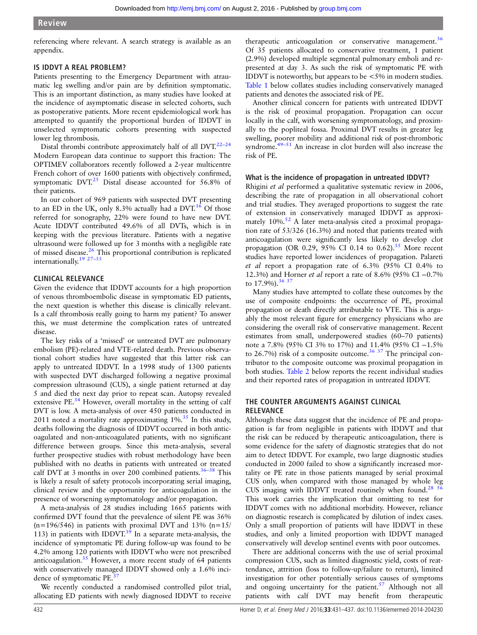referencing where relevant. A search strategy is available as an appendix.

## IS IDDVT A REAL PROBLEM?

Patients presenting to the Emergency Department with atraumatic leg swelling and/or pain are by definition symptomatic. This is an important distinction, as many studies have looked at the incidence of asymptomatic disease in selected cohorts, such as postoperative patients. More recent epidemiological work has attempted to quantify the proportional burden of IDDVT in unselected symptomatic cohorts presenting with suspected lower leg thrombosis.

Distal thrombi contribute approximately half of all DVT.<sup>[22](#page-5-0)-24</sup> Modern European data continue to support this fraction: The OPTIMEV collaborators recently followed a 2-year multicentre French cohort of over 1600 patients with objectively confirmed, symptomatic  $DVT<sup>25</sup>$  $DVT<sup>25</sup>$  $DVT<sup>25</sup>$  Distal disease accounted for 56.8% of their patients.

In our cohort of 969 patients with suspected DVT presenting to an ED in the UK, only 8.3% actually had a  $DVT<sup>16</sup>$  $DVT<sup>16</sup>$  $DVT<sup>16</sup>$  Of those referred for sonography, 22% were found to have new DVT. Acute IDDVT contributed 49.6% of all DVTs, which is in keeping with the previous literature. Patients with a negative ultrasound were followed up for 3 months with a negligible rate of missed disease.[26](#page-5-0) This proportional contribution is replicated internationally.<sup>[19](#page-5-0)</sup>  $27-33$  $27-33$ 

## CLINICAL RELEVANCE

Given the evidence that IDDVT accounts for a high proportion of venous thromboembolic disease in symptomatic ED patients, the next question is whether this disease is clinically relevant. Is a calf thrombosis really going to harm my patient? To answer this, we must determine the complication rates of untreated disease.

The key risks of a 'missed' or untreated DVT are pulmonary embolism (PE)-related and VTE-related death. Previous observational cohort studies have suggested that this latter risk can apply to untreated IDDVT. In a 1998 study of 1300 patients with suspected DVT discharged following a negative proximal compression ultrasound (CUS), a single patient returned at day 5 and died the next day prior to repeat scan. Autopsy revealed extensive PE. $34$  However, overall mortality in the setting of calf DVT is low. A meta-analysis of over 450 patients conducted in 2011 noted a mortality rate approximating  $1\%$ .<sup>[35](#page-6-0)</sup> In this study, deaths following the diagnosis of IDDVT occurred in both anticoagulated and non-anticoagulated patients, with no significant difference between groups. Since this meta-analysis, several further prospective studies with robust methodology have been published with no deaths in patients with untreated or treated calf DVT at 3 months in over 200 combined patients.<sup>[36](#page-6-0)–38</sup> This is likely a result of safety protocols incorporating serial imaging, clinical review and the opportunity for anticoagulation in the presence of worsening symptomatology and/or propagation.

A meta-analysis of 28 studies including 1665 patients with confirmed DVT found that the prevalence of silent PE was 36%  $(n=196/546)$  in patients with proximal DVT and 13%  $(n=15/56)$ 113) in patients with IDDVT. $39$  In a separate meta-analysis, the incidence of symptomatic PE during follow-up was found to be 4.2% among 120 patients with IDDVT who were not prescribed anticoagulation.<sup>[35](#page-6-0)</sup> However, a more recent study of  $64$  patients with conservatively managed IDDVT showed only a 1.6% incidence of symptomatic PE.<sup>3</sup>

We recently conducted a randomised controlled pilot trial, allocating ED patients with newly diagnosed IDDVT to receive

therapeutic anticoagulation or conservative management.<sup>[36](#page-6-0)</sup> Of 35 patients allocated to conservative treatment, 1 patient (2.9%) developed multiple segmental pulmonary emboli and represented at day 3. As such the risk of symptomatic PE with IDDVT is noteworthy, but appears to be <5% in modern studies. [Table 1](#page-2-0) below collates studies including conservatively managed patients and denotes the associated risk of PE.

Another clinical concern for patients with untreated IDDVT is the risk of proximal propagation. Propagation can occur locally in the calf, with worsening symptomatology, and proximally to the popliteal fossa. Proximal DVT results in greater leg swelling, poorer mobility and additional risk of post-thrombotic syndrome.<sup>[49](#page-6-0)–51</sup> An increase in clot burden will also increase the risk of PE.

## What is the incidence of propagation in untreated IDDVT?

Rhigini et al performed a qualitative systematic review in 2006, describing the rate of propagation in all observational cohort and trial studies. They averaged proportions to suggest the rate of extension in conservatively managed IDDVT as approximately  $10\%$ .<sup>[52](#page-6-0)</sup> A later meta-analysis cited a proximal propagation rate of 53/326 (16.3%) and noted that patients treated with anticoagulation were significantly less likely to develop clot propagation (OR 0.29, 95% CI 0.14 to 0.62).<sup>35</sup> More recent studies have reported lower incidences of propagation. Palareti et al report a propagation rate of 6.3% (95% CI 0.4% to 12.3%) and Horner et al report a rate of 8.6% (95% CI −0.7% to 17.9%).<sup>36</sup> 37

Many studies have attempted to collate these outcomes by the use of composite endpoints: the occurrence of PE, proximal propagation or death directly attributable to VTE. This is arguably the most relevant figure for emergency physicians who are considering the overall risk of conservative management. Recent estimates from small, underpowered studies (60–70 patients) note a 7.8% (95% CI 3% to 17%) and 11.4% (95% CI −1.5% to 26.7%) risk of a composite outcome.<sup>[36 37](#page-6-0)</sup> The principal contributor to the composite outcome was proximal propagation in both studies. [Table 2](#page-2-0) below reports the recent individual studies and their reported rates of propagation in untreated IDDVT.

## THE COUNTER ARGUMENTS AGAINST CLINICAL **RELEVANCE**

Although these data suggest that the incidence of PE and propagation is far from negligible in patients with IDDVT and that the risk can be reduced by therapeutic anticoagulation, there is some evidence for the safety of diagnostic strategies that do not aim to detect IDDVT. For example, two large diagnostic studies conducted in 2000 failed to show a significantly increased mortality or PE rate in those patients managed by serial proximal CUS only, when compared with those managed by whole leg CUS imaging with IDDVT treated routinely when found.<sup>28</sup> This work carries the implication that omitting to test for IDDVT comes with no additional morbidity. However, reliance on diagnostic research is complicated by dilution of index cases. Only a small proportion of patients will have IDDVT in these studies, and only a limited proportion with IDDVT managed conservatively will develop sentinel events with poor outcomes.

There are additional concerns with the use of serial proximal compression CUS, such as limited diagnostic yield, costs of reattendance, attrition (loss to follow-up/failure to return), limited investigation for other potentially serious causes of symptoms and ongoing uncertainty for the patient.<sup>[57](#page-6-0)</sup> Although not all patients with calf DVT may benefit from therapeutic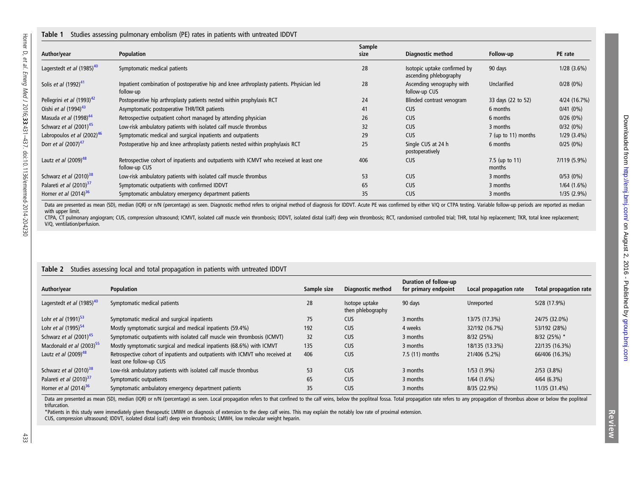<span id="page-2-0"></span>Horner D,

et al. Emerg Med J

2016;33

## Table 1 Studies assessing pulmonary embolism (PE) rates in patients with untreated IDDVT

| Author/year                           | Population                                                                                                                                                                                                                     | Sample<br>size | Diagnostic method                                      | Follow-up                   | PE rate          |
|---------------------------------------|--------------------------------------------------------------------------------------------------------------------------------------------------------------------------------------------------------------------------------|----------------|--------------------------------------------------------|-----------------------------|------------------|
| Lagerstedt et al (1985) <sup>40</sup> | Symptomatic medical patients                                                                                                                                                                                                   | 28             | Isotopic uptake confirmed by<br>ascending phlebography | 90 days                     | $1/28$ (3.6%)    |
| Solis <i>et al</i> $(1992)^{41}$      | Inpatient combination of postoperative hip and knee arthroplasty patients. Physician led<br>follow-up                                                                                                                          | 28             | Ascending venography with<br>follow-up CUS             | Unclarified                 | 0/28(0%)         |
| Pellegrini et al $(1993)^{42}$        | Postoperative hip arthroplasty patients nested within prophylaxis RCT                                                                                                                                                          | 24             | Blinded contrast venogram                              | 33 days (22 to 52)          | 4/24 (16.7%)     |
| Oishi et al $(1994)^{43}$             | Asymptomatic postoperative THR/TKR patients                                                                                                                                                                                    | 41             | <b>CUS</b>                                             | 6 months                    | $0/41(0\%)$      |
| Masuda et al (1998) <sup>44</sup>     | Retrospective outpatient cohort managed by attending physician                                                                                                                                                                 | 26             | <b>CUS</b>                                             | 6 months                    | 0/26(0%)         |
| Schwarz et al $(2001)^{45}$           | Low-risk ambulatory patients with isolated calf muscle thrombus                                                                                                                                                                | 32             | <b>CUS</b>                                             | 3 months                    | 0/32(0%)         |
| Labropoulos et al $(2002)^{46}$       | Symptomatic medical and surgical inpatients and outpatients                                                                                                                                                                    | 29             | <b>CUS</b>                                             | 7 (up to 11) months         | $1/29$ $(3.4\%)$ |
| Dorr et al (2007) <sup>47</sup>       | Postoperative hip and knee arthroplasty patients nested within prophylaxis RCT                                                                                                                                                 | 25             | Single CUS at 24 h<br>postoperatively                  | 6 months                    | 0/25(0%)         |
| Lautz et al $(2009)^{48}$             | Retrospective cohort of inpatients and outpatients with ICMVT who received at least one<br>follow-up CUS                                                                                                                       | 406            | <b>CUS</b>                                             | 7.5 (up to $11$ )<br>months | 7/119 (5.9%)     |
| Schwarz et al $(2010)^{38}$           | Low-risk ambulatory patients with isolated calf muscle thrombus                                                                                                                                                                | 53             | <b>CUS</b>                                             | 3 months                    | 0/53(0%)         |
| Palareti et al (2010) <sup>37</sup>   | Symptomatic outpatients with confirmed IDDVT                                                                                                                                                                                   | 65             | <b>CUS</b>                                             | 3 months                    | $1/64$ $(1.6\%)$ |
| Horner <i>et al</i> $(2014)^{36}$     | Symptomatic ambulatory emergency department patients                                                                                                                                                                           | 35             | CUS                                                    | 3 months                    | 1/35(2.9%)       |
|                                       | Data are presented as mean (SD), median (IQR) or n/N (percentage) as seen. Diagnostic method refers to original method of diagnosis for IDDVT. Acute PE was confirmed by either V/Q or CTPA testing. Variable follow-up period |                |                                                        |                             |                  |

CTPA, CT pulmonary angiogram; CUS, compression ultrasound; ICMVT, isolated calf muscle vein thrombosis; IDDVT, isolated distal (calf) deep vein thrombosis; RCT, randomised controlled trial; THR, total hip replacement; TKR, V/Q, ventilation/perfusion.

## Table 2 Studies assessing local and total propagation in patients with untreated IDDVT

|                                      |                                                                                                          |             |                                     | Duration of follow-up |                        |                               |
|--------------------------------------|----------------------------------------------------------------------------------------------------------|-------------|-------------------------------------|-----------------------|------------------------|-------------------------------|
| Author/year                          | Population                                                                                               | Sample size | Diagnostic method                   | for primary endpoint  | Local propagation rate | <b>Total propagation rate</b> |
| Lagerstedt et al $(1985)^{40}$       | Symptomatic medical patients                                                                             | 28          | Isotope uptake<br>then phlebography | 90 days               | <b>Unreported</b>      | 5/28 (17.9%)                  |
| Lohr et al $(1991)^{53}$             | Symptomatic medical and surgical inpatients                                                              | 75          | <b>CUS</b>                          | 3 months              | 13/75 (17.3%)          | 24/75 (32.0%)                 |
| Lohr et al $(1995)^{54}$             | Mostly symptomatic surgical and medical inpatients (59.4%)                                               | 192         | <b>CUS</b>                          | 4 weeks               | 32/192 (16.7%)         | 53/192 (28%)                  |
| Schwarz et al (2001) <sup>45</sup>   | Symptomatic outpatients with isolated calf muscle vein thrombosis (ICMVT)                                | 32          | CUS                                 | 3 months              | 8/32 (25%)             | 8/32 (25%) *                  |
| Macdonald et al (2003) <sup>55</sup> | Mostly symptomatic surgical and medical inpatients (68.6%) with ICMVT                                    | 135         | CUS                                 | 3 months              | 18/135 (13.3%)         | 22/135 (16.3%)                |
| Lautz et al (2009) <sup>48</sup>     | Retrospective cohort of inpatients and outpatients with ICMVT who received at<br>least one follow-up CUS | 406         | CUS                                 | 7.5 (11) months       | 21/406 (5.2%)          | 66/406 (16.3%)                |
| Schwarz et al (2010) <sup>38</sup>   | Low-risk ambulatory patients with isolated calf muscle thrombus                                          | 53          | CUS                                 | 3 months              | $1/53(1.9\%)$          | $2/53$ (3.8%)                 |
| Palareti et al (2010) <sup>37</sup>  | Symptomatic outpatients                                                                                  | 65          | CUS                                 | 3 months              | $1/64$ $(1.6\%)$       | 4/64(6.3%)                    |
| Horner et al $(2014)^{36}$           | Symptomatic ambulatory emergency department patients                                                     | 35          | CUS                                 | 3 months              | 8/35 (22.9%)           | 11/35 (31.4%)                 |

Data are presented as mean (SD), median (IQR) or n/N (percentage) as seen. Local propagation refers to that confined to the calf veins, below the popliteal fossa. Total propagation rate refers to any propagation of thrombu trifurcation.

\*Patients in this study were immediately given therapeutic LMWH on diagnosis of extension to the deep calf veins. This may explain the notably low rate of proximal extension.

CUS, compression ultrasound; IDDVT, isolated distal (calf) deep vein thrombosis; LMWH, low molecular weight heparin.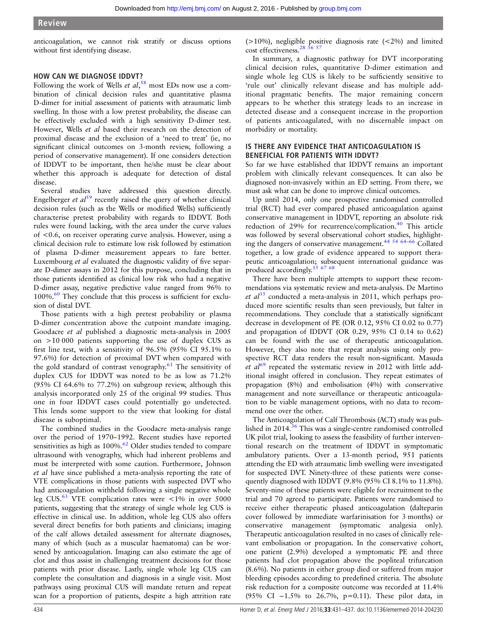anticoagulation, we cannot risk stratify or discuss options without first identifying disease.

## HOW CAN WE DIAGNOSE IDDVT?

Following the work of Wells et  $al<sub>2</sub>$ <sup>[58](#page-6-0)</sup> most EDs now use a combination of clinical decision rules and quantitative plasma D-dimer for initial assessment of patients with atraumatic limb swelling. In those with a low pretest probability, the disease can be effectively excluded with a high sensitivity D-dimer test. However, Wells et al based their research on the detection of proximal disease and the exclusion of a 'need to treat' (ie, no significant clinical outcomes on 3-month review, following a period of conservative management). If one considers detection of IDDVT to be important, then he/she must be clear about whether this approach is adequate for detection of distal disease.

Several studies have addressed this question directly. Engelberger *et al*<sup>[59](#page-6-0)</sup> recently raised the query of whether clinical decision rules (such as the Wells or modified Wells) sufficiently characterise pretest probability with regards to IDDVT. Both rules were found lacking, with the area under the curve values of <0.6, on receiver operating curve analysis. However, using a clinical decision rule to estimate low risk followed by estimation of plasma D-dimer measurement appears to fare better. Luxembourg et al evaluated the diagnostic validity of five separate D-dimer assays in 2012 for this purpose, concluding that in those patients identified as clinical low risk who had a negative D-dimer assay, negative predictive value ranged from 96% to  $100\%$ .<sup>[60](#page-6-0)</sup> They conclude that this process is sufficient for exclusion of distal DVT.

Those patients with a high pretest probability or plasma D-dimer concentration above the cutpoint mandate imaging. Goodacre et al published a diagnostic meta-analysis in 2005 on >10 000 patients supporting the use of duplex CUS as first line test, with a sensitivity of 96.5% (95% CI 95.1% to 97.6%) for detection of proximal DVT when compared with the gold standard of contrast venography. $61$  The sensitivity of duplex CUS for IDDVT was noted to be as low as 71.2% (95% CI 64.6% to 77.2%) on subgroup review, although this analysis incorporated only 25 of the original 99 studies. Thus one in four IDDVT cases could potentially go undetected. This lends some support to the view that looking for distal disease is suboptimal.

The combined studies in the Goodacre meta-analysis range over the period of 1970–1992. Recent studies have reported sensitivities as high as  $100\%$ .<sup>[62](#page-6-0)</sup> Older studies tended to compare ultrasound with venography, which had inherent problems and must be interpreted with some caution. Furthermore, Johnson et al have since published a meta-analysis reporting the rate of VTE complications in those patients with suspected DVT who had anticoagulation withheld following a single negative whole leg CUS.<sup>[63](#page-6-0)</sup> VTE complication rates were  $\lt 1\%$  in over 5000 patients, suggesting that the strategy of single whole leg CUS is effective in clinical use. In addition, whole leg CUS also offers several direct benefits for both patients and clinicians; imaging of the calf allows detailed assessment for alternate diagnoses, many of which (such as a muscular haematoma) can be worsened by anticoagulation. Imaging can also estimate the age of clot and thus assist in challenging treatment decisions for those patients with prior disease. Lastly, single whole leg CUS can complete the consultation and diagnosis in a single visit. Most pathways using proximal CUS will mandate return and repeat scan for a proportion of patients, despite a high attrition rate

(>10%), negligible positive diagnosis rate (<2%) and limited cost effectiveness.<sup>[28](#page-5-0)</sup> [56 57](#page-6-0)

In summary, a diagnostic pathway for DVT incorporating clinical decision rules, quantitative D-dimer estimation and single whole leg CUS is likely to be sufficiently sensitive to 'rule out' clinically relevant disease and has multiple additional pragmatic benefits. The major remaining concern appears to be whether this strategy leads to an increase in detected disease and a consequent increase in the proportion of patients anticoagulated, with no discernable impact on morbidity or mortality.

## IS THERE ANY EVIDENCE THAT ANTICOAGULATION IS BENEFICIAL FOR PATIENTS WITH IDDVT?

So far we have established that IDDVT remains an important problem with clinically relevant consequences. It can also be diagnosed non-invasively within an ED setting. From there, we must ask what can be done to improve clinical outcomes.

Up until 2014, only one prospective randomised controlled trial (RCT) had ever compared phased anticoagulation against conservative management in IDDVT, reporting an absolute risk reduction of 29% for recurrence/complication.<sup>[40](#page-6-0)</sup> This article was followed by several observational cohort studies, highlight-ing the dangers of conservative management.<sup>[44 54 64](#page-6-0)-66</sup> Collated together, a low grade of evidence appeared to support therapeutic anticoagulation; subsequent international guidance was produced accordingly.<sup>[15](#page-5-0) [67 68](#page-6-0)</sup>

There have been multiple attempts to support these recommendations via systematic review and meta-analysis. De Martino et  $al^{35}$  $al^{35}$  $al^{35}$  conducted a meta-analysis in 2011, which perhaps produced more scientific results than seen previously, but falter in recommendations. They conclude that a statistically significant decrease in development of PE (OR 0.12, 95% CI 0.02 to 0.77) and propagation of IDDVT (OR 0.29, 95% CI 0.14 to 0.62) can be found with the use of therapeutic anticoagulation. However, they also note that repeat analysis using only prospective RCT data renders the result non-significant. Masuda et  $al^{69}$  $al^{69}$  $al^{69}$  repeated the systematic review in 2012 with little additional insight offered in conclusion. They repeat estimates of propagation (8%) and embolisation (4%) with conservative management and note surveillance or therapeutic anticoagulation to be viable management options, with no data to recommend one over the other.

The Anticoagulation of Calf Thrombosis (ACT) study was published in 2014.[36](#page-6-0) This was a single-centre randomised controlled UK pilot trial, looking to assess the feasibility of further interventional research on the treatment of IDDVT in symptomatic ambulatory patients. Over a 13-month period, 951 patients attending the ED with atraumatic limb swelling were investigated for suspected DVT. Ninety-three of these patients were consequently diagnosed with IDDVT (9.8% (95% CI 8.1% to 11.8%). Seventy-nine of these patients were eligible for recruitment to the trial and 70 agreed to participate. Patients were randomised to receive either therapeutic phased anticoagulation (dalteparin cover followed by immediate warfarinisation for 3 months) or conservative management (symptomatic analgesia only). Therapeutic anticoagulation resulted in no cases of clinically relevant embolisation or propagation. In the conservative cohort, one patient (2.9%) developed a symptomatic PE and three patients had clot propagation above the popliteal trifurcation (8.6%). No patients in either group died or suffered from major bleeding episodes according to predefined criteria. The absolute risk reduction for a composite outcome was recorded at 11.4% (95% CI −1.5% to 26.7%, p=0.11). These pilot data, in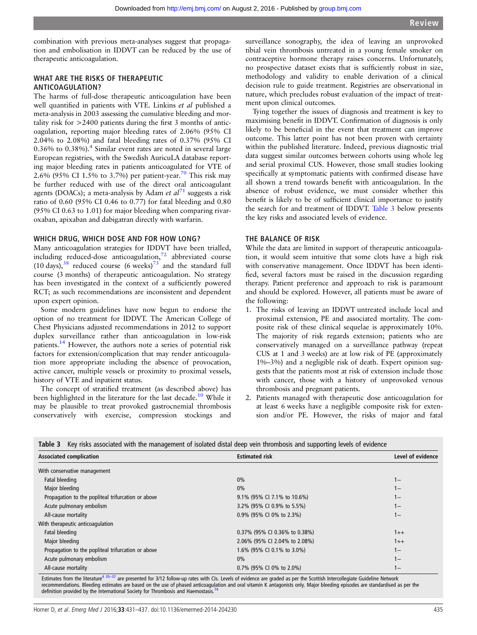combination with previous meta-analyses suggest that propagation and embolisation in IDDVT can be reduced by the use of therapeutic anticoagulation.

## WHAT ARE THE RISKS OF THERAPEUTIC ANTICOAGULATION?

The harms of full-dose therapeutic anticoagulation have been well quantified in patients with VTE. Linkins et al published a meta-analysis in 2003 assessing the cumulative bleeding and mortality risk for >2400 patients during the first 3 months of anticoagulation, reporting major bleeding rates of 2.06% (95% CI 2.04% to 2.08%) and fatal bleeding rates of 0.37% (95% CI 0.36% to 0.38%).[4](#page-5-0) Similar event rates are noted in several large European registries, with the Swedish AuricuLA database reporting major bleeding rates in patients anticoagulated for VTE of 2.6% (95% CI 1.5% to 3.7%) per patient-year.<sup>[70](#page-6-0)</sup> This risk may be further reduced with use of the direct oral anticoagulant agents (DOACs); a meta-analysis by Adam et  $al^{71}$  $al^{71}$  $al^{71}$  suggests a risk ratio of 0.60 (95% CI 0.46 to 0.77) for fatal bleeding and 0.80 (95% CI 0.63 to 1.01) for major bleeding when comparing rivaroxaban, apixaban and dabigatran directly with warfarin.

## WHICH DRUG, WHICH DOSE AND FOR HOW LONG?

Many anticoagulation strategies for IDDVT have been trialled, including reduced-dose anticoagulation, $72$  abbreviated course (10 days),<sup>[38](#page-6-0)</sup> reduced course (6 weeks)<sup>[73](#page-6-0)</sup> and the standard full course (3 months) of therapeutic anticoagulation. No strategy has been investigated in the context of a sufficiently powered RCT; as such recommendations are inconsistent and dependent upon expert opinion.

Some modern guidelines have now begun to endorse the option of no treatment for IDDVT. The American College of Chest Physicians adjusted recommendations in 2012 to support duplex surveillance rather than anticoagulation in low-risk patients.<sup>[14](#page-5-0)</sup> However, the authors note a series of potential risk factors for extension/complication that may render anticoagulation more appropriate including the absence of provocation, active cancer, multiple vessels or proximity to proximal vessels, history of VTE and inpatient status.

The concept of stratified treatment (as described above) has been highlighted in the literature for the last decade.<sup>[10](#page-5-0)</sup> While it may be plausible to treat provoked gastrocnemial thrombosis conservatively with exercise, compression stockings and

surveillance sonography, the idea of leaving an unprovoked tibial vein thrombosis untreated in a young female smoker on contraceptive hormone therapy raises concerns. Unfortunately, no prospective dataset exists that is sufficiently robust in size, methodology and validity to enable derivation of a clinical decision rule to guide treatment. Registries are observational in nature, which precludes robust evaluation of the impact of treatment upon clinical outcomes.

Tying together the issues of diagnosis and treatment is key to maximising benefit in IDDVT. Confirmation of diagnosis is only likely to be beneficial in the event that treatment can improve outcome. This latter point has not been proven with certainty within the published literature. Indeed, previous diagnostic trial data suggest similar outcomes between cohorts using whole leg and serial proximal CUS. However, those small studies looking specifically at symptomatic patients with confirmed disease have all shown a trend towards benefit with anticoagulation. In the absence of robust evidence, we must consider whether this benefit is likely to be of sufficient clinical importance to justify the search for and treatment of IDDVT. Table 3 below presents the key risks and associated levels of evidence.

## THE BALANCE OF RISK

While the data are limited in support of therapeutic anticoagulation, it would seem intuitive that some clots have a high risk with conservative management. Once IDDVT has been identified, several factors must be raised in the discussion regarding therapy. Patient preference and approach to risk is paramount and should be explored. However, all patients must be aware of the following:

- 1. The risks of leaving an IDDVT untreated include local and proximal extension, PE and associated mortality. The composite risk of these clinical sequelae is approximately 10%. The majority of risk regards extension; patients who are conservatively managed on a surveillance pathway (repeat CUS at 1 and 3 weeks) are at low risk of PE (approximately 1%–3%) and a negligible risk of death. Expert opinion suggests that the patients most at risk of extension include those with cancer, those with a history of unprovoked venous thrombosis and pregnant patients.
- 2. Patients managed with therapeutic dose anticoagulation for at least 6 weeks have a negligible composite risk for extension and/or PE. However, the risks of major and fatal

|  | <b>Table 3</b> Key risks associated with the management of isolated distal deep vein thrombosis and supporting levels of evidence |  |  |
|--|-----------------------------------------------------------------------------------------------------------------------------------|--|--|
|  |                                                                                                                                   |  |  |

| <b>Associated complication</b>                     | <b>Estimated risk</b>         | Level of evidence |
|----------------------------------------------------|-------------------------------|-------------------|
| With conservative management                       |                               |                   |
| Fatal bleeding                                     | $0\%$                         | $1 -$             |
| Major bleeding                                     | $0\%$                         | $1 -$             |
| Propagation to the popliteal trifurcation or above | 9.1% (95% CI 7.1% to 10.6%)   | $1 -$             |
| Acute pulmonary embolism                           | 3.2% (95% CI 0.9% to 5.5%)    | $1 -$             |
| All-cause mortality                                | 0.9% (95% CI 0% to 2.3%)      | $1 -$             |
| With therapeutic anticoagulation                   |                               |                   |
| Fatal bleeding                                     | 0.37% (95% CI 0.36% to 0.38%) | $1++$             |
| Major bleeding                                     | 2.06% (95% CI 2.04% to 2.08%) | $1++$             |
| Propagation to the popliteal trifurcation or above | 1.6% (95% CI 0.1% to 3.0%)    | $1 -$             |
| Acute pulmonary embolism                           | $0\%$                         | $1 -$             |
| All-cause mortality                                | 0.7% (95% CI 0% to 2.0%)      | $\mathsf{l}$ $-$  |

Estimates from the literature<sup>[4](#page-5-0) [35](#page-6-0)–37</sup> are presented for 3/12 follow-up rates with CIs. Levels of evidence are graded as per the Scottish Intercollegiate Guideline Network recommendations. Bleeding estimates are based on the use of phased anticoagulation and oral vitamin K antagonists only. Major bleeding episodes are standardised as per the definition provided by the International Society for Thrombosis and Haemostasis.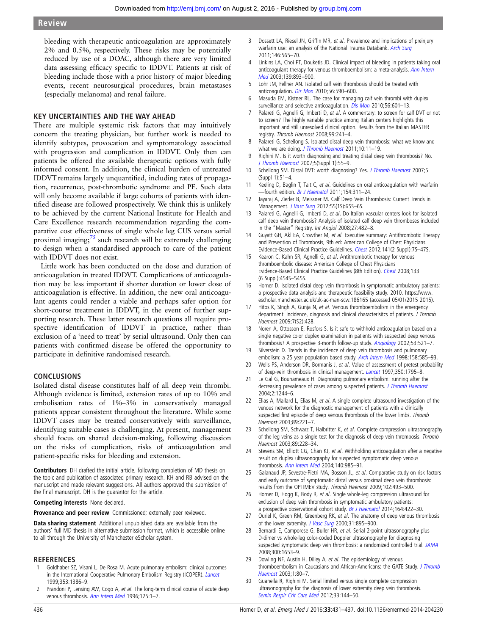<span id="page-5-0"></span>bleeding with therapeutic anticoagulation are approximately 2% and 0.5%, respectively. These risks may be potentially reduced by use of a DOAC, although there are very limited data assessing efficacy specific to IDDVT. Patients at risk of bleeding include those with a prior history of major bleeding events, recent neurosurgical procedures, brain metastases (especially melanoma) and renal failure.

## KEY UNCERTAINTIES AND THE WAY AHEAD

There are multiple systemic risk factors that may intuitively concern the treating physician, but further work is needed to identify subtypes, provocation and symptomatology associated with progression and complication in IDDVT. Only then can patients be offered the available therapeutic options with fully informed consent. In addition, the clinical burden of untreated IDDVT remains largely unquantified, including rates of propagation, recurrence, post-thrombotic syndrome and PE. Such data will only become available if large cohorts of patients with identified disease are followed prospectively. We think this is unlikely to be achieved by the current National Institute for Health and Care Excellence research recommendation regarding the comparative cost effectiveness of single whole leg CUS versus serial proximal imaging; $\frac{75}{3}$  $\frac{75}{3}$  $\frac{75}{3}$  such research will be extremely challenging to design when a standardised approach to care of the patient with IDDVT does not exist.

Little work has been conducted on the dose and duration of anticoagulation in treated IDDVT. Complications of anticoagulation may be less important if shorter duration or lower dose of anticoagulation is effective. In addition, the new oral anticoagulant agents could render a viable and perhaps safer option for short-course treatment in IDDVT, in the event of further supporting research. These latter research questions all require prospective identification of IDDVT in practice, rather than exclusion of a 'need to treat' by serial ultrasound. Only then can patients with confirmed disease be offered the opportunity to participate in definitive randomised research.

## **CONCLUSIONS**

Isolated distal disease constitutes half of all deep vein thrombi. Although evidence is limited, extension rates of up to 10% and embolisation rates of 1%–3% in conservatively managed patients appear consistent throughout the literature. While some IDDVT cases may be treated conservatively with surveillance, identifying suitable cases is challenging. At present, management should focus on shared decision-making, following discussion on the risks of complication, risks of anticoagulation and patient-specific risks for bleeding and extension.

Contributors DH drafted the initial article, following completion of MD thesis on the topic and publication of associated primary research. KH and RB advised on the manuscript and made relevant suggestions. All authors approved the submission of the final manuscript. DH is the guarantor for the article.

Competing interests None declared.

Provenance and peer review Commissioned; externally peer reviewed.

Data sharing statement Additional unpublished data are available from the authors' full MD thesis in alternative submission format, which is accessible online to all through the University of Manchester eScholar system.

#### REFERENCES

- 1 Goldhaber SZ, Visani L, De Rosa M. Acute pulmonary embolism: clinical outcomes in the International Cooperative Pulmonary Embolism Registry (ICOPER). [Lancet](http://dx.doi.org/10.1016/S0140-6736(98)07534-5) 1999;353:1386–9.
- 2 Prandoni P, Lensing AW, Cogo A, et al. The long-term clinical course of acute deep venous thrombosis. [Ann Intern Med](http://dx.doi.org/10.7326/0003-4819-125-1-199607010-00001) 1996;125:1-7.
- 3 Dossett LA, Riesel JN, Griffin MR, et al. Prevalence and implications of preinjury warfarin use: an analysis of the National Trauma Databank. [Arch Surg](http://dx.doi.org/10.1001/archsurg.2010.313) 2011;146:565–70.
- 4 Linkins LA, Choi PT, Douketis JD. Clinical impact of bleeding in patients taking oral anticoagulant therapy for venous thromboembolism: a meta-analysis. [Ann Intern](http://dx.doi.org/10.7326/0003-4819-139-11-200312020-00007) [Med](http://dx.doi.org/10.7326/0003-4819-139-11-200312020-00007) 2003;139:893–900.
- 5 Lohr JM, Fellner AN. Isolated calf vein thrombosis should be treated with anticoagulation. [Dis Mon](http://dx.doi.org/10.1016/j.disamonth.2010.06.010) 2010;56:590-600.
- 6 Masuda EM, Kistner RL. The case for managing calf vein thrombi with duplex surveillance and selective anticoagulation. [Dis Mon](http://dx.doi.org/10.1016/j.disamonth.2010.06.011) 2010;56:601-13.
- 7 Palareti G, Agnelli G, Imberti D, et al. A commentary: to screen for calf DVT or not to screen? The highly variable practice among Italian centers highlights this important and still unresolved clinical option. Results from the Italian MASTER registry. Thromb Haemost 2008;99:241–4.
- Palareti G, Schellong S. Isolated distal deep vein thrombosis: what we know and what we are doing. [J Thromb Haemost](http://dx.doi.org/10.1111/j.1538-7836.2011.04564.x) 2011;10:11-19.
- Righini M. Is it worth diagnosing and treating distal deep vein thrombosis? No. [J Thromb Haemost](http://dx.doi.org/10.1111/j.1538-7836.2007.02468.x) 2007;5(Suppl 1):55–9.
- 10 Schellong SM. Distal DVT: worth diagnosing? Yes. [J Thromb Haemost](http://dx.doi.org/10.1111/j.1538-7836.2007.02490.x) 2007;5 (Suppl 1):51–4.
- 11 Keeling D, Baglin T, Tait C, et al. Guidelines on oral anticoagulation with warfarin —fourth edition. [Br J Haematol](http://dx.doi.org/10.1111/j.1365-2141.2011.08753.x) 2011;154:311–24.
- 12 Jayaraj A, Zierler B, Meissner M. Calf Deep Vein Thrombosis: Current Trends in Management. [J Vasc Surg](http://dx.doi.org/10.1016/j.jvs.2012.03.170) 2012;55(1S):65S-6S.
- 13 Palareti G, Agnelli G, Imberti D, et al. Do Italian vascular centers look for isolated calf deep vein thrombosis? Analysis of isolated calf deep vein thromboses included in the "Master" Registry. Int Angiol 2008;27:482–8.
- 14 Guyatt GH, Akl EA, Crowther M, et al. Executive summary: Antithrombotic Therapy and Prevention of Thrombosis, 9th ed: American College of Chest Physicians Evidence-Based Clinical Practice Guidelines. [Chest](http://dx.doi.org/10.1378/chest.1412S3) 2012;141(2 Suppl):7S-47S.
- Kearon C, Kahn SR, Agnelli G, et al. Antithrombotic therapy for venous thromboembolic disease: American College of Chest Physicians Evidence-Based Clinical Practice Guidelines (8th Edition). [Chest](http://dx.doi.org/10.1378/chest.08-0658) 2008;133 (6 Suppl):454S–545S.
- Horner D. Isolated distal deep vein thrombosis in symptomatic ambulatory patients: a prospective data analysis and therapeutic feasibility study. 2010. [https://www.](https://www.escholar.manchester.ac.uk/uk-ac-man-scw:186165) [escholar.manchester.ac.uk/uk-ac-man-scw:186165](https://www.escholar.manchester.ac.uk/uk-ac-man-scw:186165) (accessed 05/01/2015 2015).
- 17 Hitos K, Slngh A, Gunja N, et al. Venous thromboembolism in the emergency department: incidence, diagnosis and clinical characterisitcs of patients. J Thromb Haemost 2009;7(S2):428.
- 18 Noren A, Ottosson E, Rosfors S. Is it safe to withhold anticoagulation based on a single negative color duplex examination in patients with suspected deep venous thrombosis? A prospective 3-month follow-up study. [Angiology](http://dx.doi.org/10.1177/000331970205300504) 2002;53:521-7.
- 19 Silverstein D. Trends in the incidence of deep vein thrombosis and pulmonary embolism: a 25 year population based study. [Arch Intern Med](http://dx.doi.org/10.1001/archinte.158.6.585) 1998;158:585-93.
- 20 Wells PS, Anderson DR, Bormanis J, et al. Value of assessment of pretest probability of deep-vein thrombosis in clinical management. [Lancet](http://dx.doi.org/10.1016/S0140-6736(97)08140-3) 1997;350:1795-8.
- 21 Le Gal G, Bounameaux H. Diagnosing pulmonary embolism: running after the decreasing prevalence of cases among suspected patients. [J Thromb Haemost](http://dx.doi.org/10.1111/j.1538-7836.2004.00795.x) 2004;2:1244–6.
- 22 Elias A, Mallard L, Elias M, et al. A single complete ultrasound investigation of the venous network for the diagnostic management of patients with a clinically suspected first episode of deep venous thrombosis of the lower limbs. Thromb Haemost 2003;89:221–7.
- Schellong SM, Schwarz T, Halbritter K, et al. Complete compression ultrasonography of the leg veins as a single test for the diagnosis of deep vein thrombosis. Thromb Haemost 2003;89:228–34.
- 24 Stevens SM, Elliott CG, Chan KJ, et al. Withholding anticoagulation after a negative result on duplex ultrasonography for suspected symptomatic deep venous thrombosis. [Ann Intern Med](http://dx.doi.org/10.7326/0003-4819-140-12-200406150-00007) 2004;140:985–91.
- 25 Galanaud JP, Sevestre-Pietri MA, Bosson JL, et al. Comparative study on risk factors and early outcome of symptomatic distal versus proximal deep vein thrombosis: results from the OPTIMEV study. Thromb Haemost 2009;102:493–500.
- 26 Horner D, Hogg K, Body R, et al. Single whole-leg compression ultrasound for exclusion of deep vein thrombosis in symptomatic ambulatory patients: a prospective observational cohort study. [Br J Haematol](http://dx.doi.org/10.1111/bjh.12642) 2014;164:422–30.
- 27 Ouriel K, Green RM, Greenberg RK, et al. The anatomy of deep venous thrombosis of the lower extremity. [J Vasc Surg](http://dx.doi.org/10.1067/mva.2000.105956) 2000;31:895-900.
- 28 Bernardi E, Camporese G, Buller HR, et al. Serial 2-point ultrasonography plus D-dimer vs whole-leg color-coded Doppler ultrasonography for diagnosing suspected symptomatic deep vein thrombosis: a randomized controlled trial. [JAMA](http://dx.doi.org/10.1001/jama.300.14.1653) 2008;300:1653–9.
- 29 Dowling NF, Austin H, Dilley A, et al. The epidemiology of venous thromboembolism in Caucasians and African-Americans: the GATE Study. [J Thromb](http://dx.doi.org/10.1046/j.1538-7836.2003.00031.x) [Haemost](http://dx.doi.org/10.1046/j.1538-7836.2003.00031.x) 2003;1:80–7.
- 30 Guanella R, Righini M. Serial limited versus single complete compression ultrasonography for the diagnosis of lower extremity deep vein thrombosis. [Semin Respir Crit Care Med](http://dx.doi.org/10.1055/s-0032-1311793) 2012;33:144–50.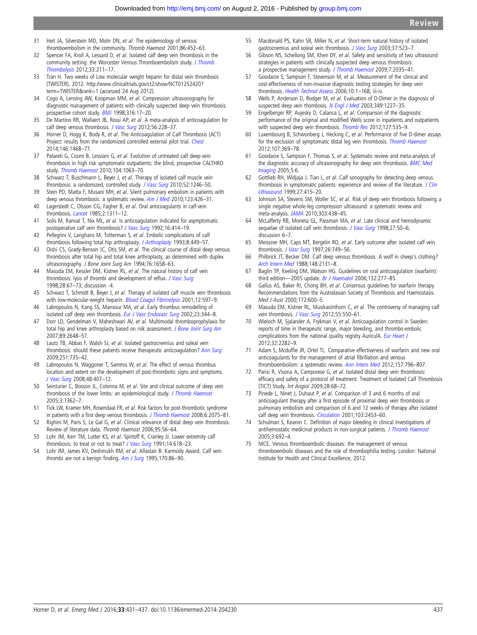- <span id="page-6-0"></span>31 Heit JA, Silverstein MD, Mohr DN, et al. The epidemiology of venous thromboembolism in the community. Thromb Haemost 2001;86:452–63.
- 32 Spencer FA, Kroll A, Lessard D, et al. Isolated calf deep vein thrombosis in the community setting: the Worcester Venous Thromboembolism study. [J Thromb](http://dx.doi.org/10.1007/s11239-011-0670-x) [Thrombolysis](http://dx.doi.org/10.1007/s11239-011-0670-x) 2012;33:211–17.
- 33 Tran H. Two weeks of Low molecular weight heparin for distal vein thrombosis (TWISTER). 2012. [http://www.clinicaltrials.gov/ct2/show/NCT01252420?](http://www.clinicaltrials.gov/ct2/show/NCT01252420?term=TWISTER&rank=1) [term=TWISTER&rank=1](http://www.clinicaltrials.gov/ct2/show/NCT01252420?term=TWISTER&rank=1) (accessed 24 Aug 2012).
- 34 Cogo A, Lensing AW, Koopman MM, et al. Compression ultrasonography for diagnostic management of patients with clinically suspected deep vein thrombosis: prospective cohort study. [BMJ](http://dx.doi.org/10.1136/bmj.316.7124.17) 1998;316:17-20.
- 35 De Martino RR, Wallaert JB, Rossi AP, et al. A meta-analysis of anticoagulation for calf deep venous thrombosis. [J Vasc Surg](http://dx.doi.org/10.1016/j.jvs.2011.09.087) 2012;56:228-37.
- 36 Horner D, Hogg K, Body R, et al. The Anticoagulation of Calf Thrombosis (ACT) Project: results from the randomized controlled external pilot trial. [Chest](http://dx.doi.org/10.1378/chest.14-0235) 2014;146:1468–77.
- 37 Palareti G, Cosmi B, Lessiani G, et al. Evolution of untreated calf deep-vein thrombosis in high risk symptomatic outpatients: the blind, prospective CALTHRO study. [Thromb Haemost](http://dx.doi.org/10.1160/TH10-06-0351) 2010;104:1063–70.
- 38 Schwarz T, Buschmann L, Beyer J, et al. Therapy of isolated calf muscle vein thrombosis: a randomized, controlled study. [J Vasc Surg](http://dx.doi.org/10.1016/j.jvs.2010.05.094) 2010;52:1246-50.
- 39 Stein PD, Matta F, Musani MH, et al. Silent pulmonary embolism in patients with deep venous thrombosis: a systematic review. [Am J Med](http://dx.doi.org/10.1016/j.amjmed.2009.09.037) 2010;123:426-31.
- 40 Lagerstedt C, Olsson CG, Fagher B, et al. Oral anticoagulants in calf-vein thrombosis. [Lancet](http://dx.doi.org/10.1016/S0140-6736(85)91600-9) 1985;2:1311–12.
- 41 Solis M, Ranval T, Nix ML, et al. Is anticoagulation indicated for asymptomatic postoperative calf vein thrombosis? [J Vasc Surg](http://dx.doi.org/10.1016/0741-5214(92)90376-J) 1992;16:414-19.
- 42 Pellegrini V, Langhans M, Totterman S, et al. Embolic complications of calf thrombosis following total hip arthroplasty. [J Arthroplasty](http://dx.doi.org/10.1016/S0883-5403(06)80210-X) 1993;8:449-57.
- 43 Oishi CS, Grady-Benson JC, Otis SM, et al. The clinical course of distal deep venous thrombosis after total hip and total knee arthroplasty, as determined with duplex ultrasonography. J Bone Joint Surg Am 1994;76:1658–63.
- 44 Masuda EM, Kessler DM, Kistner RL, et al. The natural history of calf vein thrombosis: lysis of thrombi and development of reflux. [J Vasc Surg](http://dx.doi.org/10.1016/S0741-5214(98)70201-0) 1998;28:67–73; discussion -4.
- 45 Schwarz T, Schmidt B, Beyer J, et al. Therapy of isolated calf muscle vein thrombosis with low-molecular-weight heparin. [Blood Coagul Fibrinolysis](http://dx.doi.org/10.1097/00001721-200110000-00014) 2001;12:597-9.
- 46 Labropoulos N, Kang SS, Mansour MA, et al. Early thrombus remodelling of isolated calf deep vein thrombosis. [Eur J Vasc Endovasc Surg](http://dx.doi.org/10.1053/ejvs.2002.1608) 2002;23:344-8.
- 47 Dorr LD, Gendelman V, Maheshwari AV, et al. Multimodal thromboprophylaxis for total hip and knee arthroplasty based on risk assessment. [J Bone Joint Surg Am](http://dx.doi.org/10.2106/JBJS.F.00235) 2007;89:2648–57.
- 48 Lautz TB, Abbas F, Walsh SJ, et al. Isolated gastrocnemius and soleal vein thrombosis: should these patients receive therapeutic anticoagulation? [Ann Surg](http://dx.doi.org/10.1097/SLA.0b013e3181c1ae95) 2009;251:735–42.
- 49 Labropoulos N, Waggoner T, Sammis W, et al. The effect of venous thrombus location and extent on the development of post-thrombotic signs and symptoms. [J Vasc Surg](http://dx.doi.org/10.1016/j.jvs.2008.03.016) 2008;48:407–12.
- 50 Seinturier C, Bosson JL, Colonna M, et al. Site and clinical outcome of deep vein thrombosis of the lower limbs: an epidemiological study. [J Thromb Haemost](http://dx.doi.org/10.1111/j.1538-7836.2005.01393.x) 2005;3:1362–7.
- 51 Tick LW, Kramer MH, Rosendaal FR, et al. Risk factors for post-thrombotic syndrome in patients with a first deep venous thrombosis. [J Thromb Haemost](http://dx.doi.org/10.1111/j.1538-7836.2008.03180.x) 2008;6:2075-81.
- 52 Righini M, Paris S, Le Gal G, et al. Clinical relevance of distal deep vein thrombosis. Review of literature data. Thromb Haemost 2006;95:56–64.
- 53 Lohr JM, Kerr TM, Lutter KS, et al. Spirtoff K, Cranley JJ. Lower extremity calf thrombosis: to treat or not to treat? [J Vasc Surg](http://dx.doi.org/10.1016/0741-5214(91)90184-V) 1991;14:618-23.
- 54 Lohr JM, James KV, Deshmukh RM, et al. Allastair B. Karmody Award. Calf vein thrombi are not a benign finding. [Am J Surg](http://dx.doi.org/10.1016/S0002-9610(99)80261-X) 1995;170:86-90.
- 55 Macdonald PS, Kahn SR, Miller N, et al. Short-term natural history of isolated gastrocnemius and soleal vein thrombosis. [J Vasc Surg](http://dx.doi.org/10.1067/mva.2003.149) 2003;37:523-7.
- 56 Gibson NS, Schellong SM, Kheir DY, et al. Safety and sensitivity of two ultrasound strategies in patients with clinically suspected deep venous thrombosis: a prospective management study. [J Thromb Haemost](http://dx.doi.org/10.1111/j.1538-7836.2009.03635.x) 2009;7:2035–41.
- 57 Goodacre S, Sampson F, Stevenson M, et al. Measurement of the clinical and cost-effectiveness of non-invasive diagnostic testing strategies for deep vein thrombosis. [Health Technol Assess](http://dx.doi.org/10.3310/hta10150) 2006;10:1-168, iii-iv.
- 58 Wells P, Anderson D, Rodger M, et al. Evaluation of D-Dimer in the diagnosis of suspected deep vein thombosis. [N Engl J Med](http://dx.doi.org/10.1056/NEJMoa023153) 2003;349:1227-35.
- 59 Engelberger RP, Aujesky D, Calanca L, et al. Comparison of the diagnostic performance of the original and modified Wells score in inpatients and outpatients with suspected deep vein thrombosis. [Thromb Res](http://dx.doi.org/10.1016/j.thromres.2011.02.008) 2012;127:535-9.
- 60 Luxembourg B, Schwonberg J, Hecking C, et al. Performance of five D-dimer assays for the exclusion of symptomatic distal leg vein thrombosis. [Thromb Haemost](http://dx.doi.org/10.1160/TH11-07-0511) 2012;107:369–78.
- 61 Goodacre S, Sampson F, Thomas S, et al. Systematic review and meta-analysis of the diagnostic accuracy of ultrasonography for deep vein thrombosis. [BMC Med](http://dx.doi.org/10.1186/1471-2342-5-6) [Imaging](http://dx.doi.org/10.1186/1471-2342-5-6) 2005;5:6.
- 62 Gottlieb RH, Widjaja J, Tian L, et al. Calf sonography for detecting deep venous thrombosis in symptomatic patients: experience and review of the literature. [J Clin](http://dx.doi.org/10.1002/(SICI)1097-0096(199910)27:8<415::AID-JCU1>3.0.CO;2-6) [Ultrasound](http://dx.doi.org/10.1002/(SICI)1097-0096(199910)27:8<415::AID-JCU1>3.0.CO;2-6) 1999;27:415–20.
- 63 Johnson SA, Stevens SM, Woller SC, et al. Risk of deep vein thrombosis following a single negative whole-leg compression ultrasound: a systematic review and meta-analysis. [JAMA](http://dx.doi.org/10.1001/jama.2010.43) 2010;303:438–45.
- 64 McLafferty RB, Moneta GL, Passman MA, et al. Late clinical and hemodynamic sequelae of isolated calf vein thrombosis. [J Vasc Surg](http://dx.doi.org/10.1016/S0741-5214(98)70291-5) 1998;27:50-6; discussion 6–7.
- 65 Meissner MH, Caps MT, Bergelin RO, et al. Early outcome after isolated calf vein thrombosis. [J Vasc Surg](http://dx.doi.org/10.1016/S0741-5214(97)70086-7) 1997;26:749-56.
- 66 Philbrick JT, Becker DM. Calf deep venous thrombosis. A wolf in sheep's clothing? [Arch Intern Med](http://dx.doi.org/10.1001/archinte.1988.00380100029007) 1988;148:2131–8.
- 67 Baglin TP, Keeling DM, Watson HG. Guidelines on oral anticoagulation (warfarin): third edition-2005 update. [Br J Haematol](http://dx.doi.org/10.1111/j.1365-2141.2005.05856.x) 2006;132:277-85.
- 68 Gallus AS, Baker RI, Chong BH, et al. Consensus guidelines for warfarin therapy. Recommendations from the Australasian Society of Thrombosis and Haemostasis. Med J Aust 2000;172:600–5.
- 69 Masuda EM, Kistner RL, Musikasinthorn C, et al. The controversy of managing calf vein thrombosis. [J Vasc Surg](http://dx.doi.org/10.1016/j.jvs.2011.05.092) 2012;55:550-61.
- 70 Wieloch M, Sjalander A, Frykman V, et al. Anticoagulation control in Sweden: reports of time in therapeutic range, major bleeding, and thrombo-embolic complications from the national quality registry AuriculA. [Eur Heart J](http://dx.doi.org/10.1093/eurheartj/ehr134) 2012;32:2282–9.
- 71 Adam S, Mcduffie JR, Ortel TL. Comparative effectiveness of warfarin and new oral anticoagulants for the management of atrial fibrillation and venous thromboembolism: a systematic review. [Ann Intern Med](http://dx.doi.org/10.7326/0003-4819-157-10-201211200-00532) 2012;157:796-807.
- 72 Parisi R, Visona A, Camporese G, et al. Isolated distal deep vein thrombosis: efficacy and safety of a protocol of treatment. Treatment of Isolated Calf Thrombosis (TICT) Study. Int Angiol 2009;28:68–72.
- 73 Pinede L, Ninet J, Duhaut P, et al. Comparison of 3 and 6 months of oral anticoagulant therapy after a first episode of proximal deep vein thrombosis or pulmonary embolism and comparison of 6 and 12 weeks of therapy after isolated calf deep vein thrombosis. [Circulation](http://dx.doi.org/10.1161/01.CIR.103.20.2453) 2001;103:2453–60.
- 74 Schulman S, Kearon C. Definition of major bleeding in clinical investigations of antihemostatic medicinal products in non-surgical patients. [J Thromb Haemost](http://dx.doi.org/10.1111/j.1538-7836.2005.01204.x) 2005;3:692–4.
- 75 NICE. Venous thromboembolic diseases: the management of venous thromboembolic diseases and the role of thrombophilia testing. London: National Institute for Health and Clinical Excellence, 2012.